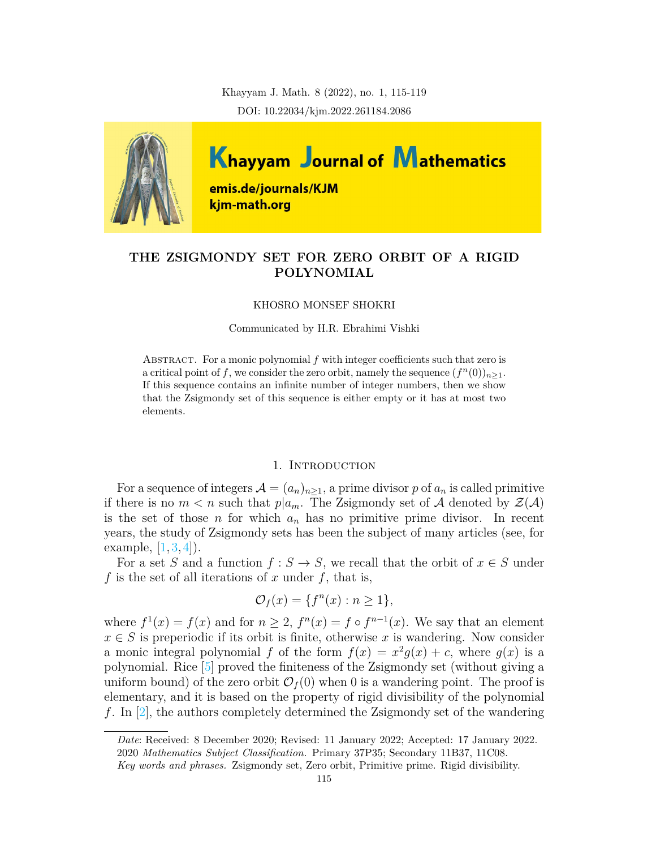Khayyam J. Math. 8 (2022), no. 1, 115-119 DOI: 10.22034/kjm.2022.261184.2086



# **THE ZSIGMONDY SET FOR ZERO ORBIT OF A RIGID POLYNOMIAL**

#### KHOSRO MONSEF SHOKRI

Communicated by H.R. Ebrahimi Vishki

ABSTRACT. For a monic polynomial  $f$  with integer coefficients such that zero is a critical point of *f*, we consider the zero orbit, namely the sequence  $(f^n(0))_{n\geq 1}$ . If this sequence contains an infinite number of integer numbers, then we show that the Zsigmondy set of this sequence is either empty or it has at most two elements.

## 1. INTRODUCTION

For a sequence of integers  $\mathcal{A} = (a_n)_{n \geq 1}$ , a prime divisor p of  $a_n$  is called primitive if there is no  $m < n$  such that  $p|a_m$ . The Zsigmondy set of A denoted by  $\mathcal{Z}(\mathcal{A})$ is the set of those *n* for which  $a_n$  has no primitive prime divisor. In recent years, the study of Zsigmondy sets has been the subject of many articles (see, for example,  $[1, 3, 4]$  $[1, 3, 4]$  $[1, 3, 4]$  $[1, 3, 4]$  $[1, 3, 4]$  $[1, 3, 4]$ .

For a set *S* and a function  $f : S \to S$ , we recall that the orbit of  $x \in S$  under *f* is the set of all iterations of *x* under *f*, that is,

$$
\mathcal{O}_f(x) = \{f^n(x) : n \ge 1\},\
$$

where  $f^1(x) = f(x)$  and for  $n \geq 2$ ,  $f^n(x) = f \circ f^{n-1}(x)$ . We say that an element  $x \in S$  is preperiodic if its orbit is finite, otherwise x is wandering. Now consider a monic integral polynomial *f* of the form  $f(x) = x^2g(x) + c$ , where  $g(x)$  is a polynomial. Rice [\[5\]](#page-4-3) proved the finiteness of the Zsigmondy set (without giving a uniform bound) of the zero orbit  $\mathcal{O}_f(0)$  when 0 is a wandering point. The proof is elementary, and it is based on the property of rigid divisibility of the polynomial *f*. In[[2\]](#page-4-4), the authors completely determined the Zsigmondy set of the wandering

*Date*: Received: 8 December 2020; Revised: 11 January 2022; Accepted: 17 January 2022. 2020 *Mathematics Subject Classification.* Primary 37P35; Secondary 11B37, 11C08.

*Key words and phrases.* Zsigmondy set, Zero orbit, Primitive prime. Rigid divisibility.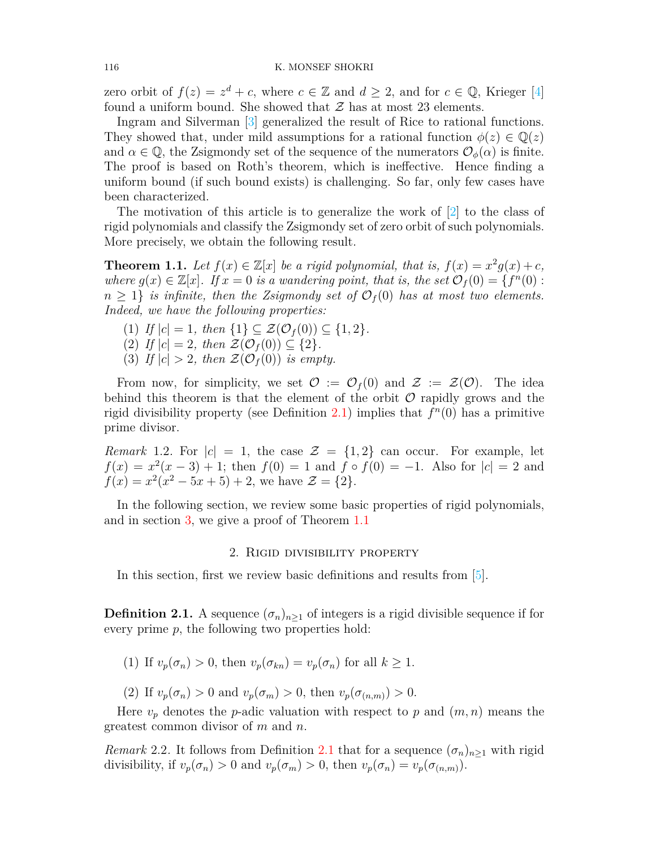zero orbit of  $f(z) = z^d + c$ , where  $c \in \mathbb{Z}$  and  $d \geq 2$ , and for  $c \in \mathbb{Q}$ , Krieger [\[4\]](#page-4-2) found a uniform bound. She showed that  $\mathcal Z$  has at most 23 elements.

Ingram and Silverman [[3](#page-4-1)] generalized the result of Rice to rational functions. They showed that, under mild assumptions for a rational function  $\phi(z) \in \mathbb{Q}(z)$ and  $\alpha \in \mathbb{Q}$ , the Zsigmondy set of the sequence of the numerators  $\mathcal{O}_{\phi}(\alpha)$  is finite. The proof is based on Roth's theorem, which is ineffective. Hence finding a uniform bound (if such bound exists) is challenging. So far, only few cases have been characterized.

The motivation of this article is to generalize the work of [\[2\]](#page-4-4) to the class of rigid polynomials and classify the Zsigmondy set of zero orbit of such polynomials. More precisely, we obtain the following result.

<span id="page-1-1"></span>**Theorem 1.1.** Let  $f(x) \in \mathbb{Z}[x]$  be a rigid polynomial, that is,  $f(x) = x^2 g(x) + c$ , *where*  $g(x) \in \mathbb{Z}[x]$ *. If*  $x = 0$  *is a wandering point, that is, the set*  $\mathcal{O}_f(0) = \{f^n(0) :$  $n \geq 1$ *} is infinite, then the Zsigmondy set of*  $\mathcal{O}_f(0)$  *has at most two elements. Indeed, we have the following properties:*

- $(1)$  *If*  $|c| = 1$ *, then*  $\{1\} \subset \mathcal{Z}(\mathcal{O}_f(0)) \subset \{1, 2\}.$
- $(2)$  *If*  $|c| = 2$ *, then*  $\mathcal{Z}(\mathcal{O}_f(0)) \subseteq \{2\}$ *.*
- (3) If  $|c| > 2$ , then  $\mathcal{Z}(\mathcal{O}_f(0))$  is empty.

From now, for simplicity, we set  $\mathcal{O} := \mathcal{O}_f(0)$  and  $\mathcal{Z} := \mathcal{Z}(\mathcal{O})$ . The idea behind this theorem is that the element of the orbit *O* rapidly grows and the rigid divisibility property (see Definition [2.1](#page-1-0)) implies that  $f<sup>n</sup>(0)$  has a primitive prime divisor.

*Remark* 1.2. For  $|c| = 1$ , the case  $\mathcal{Z} = \{1, 2\}$  can occur. For example, let  $f(x) = x^2(x-3) + 1$ ; then  $f(0) = 1$  and  $f \circ f(0) = -1$ . Also for  $|c| = 2$  and  $f(x) = x^2(x^2 - 5x + 5) + 2$ , we have  $\mathcal{Z} = \{2\}.$ 

In the following section, we review some basic properties of rigid polynomials, and in section [3,](#page-2-0) we give a proof of Theorem [1.1](#page-1-1)

### 2. Rigid divisibility property

In this section, first we review basic definitions and results from [[5\]](#page-4-3).

<span id="page-1-0"></span>**Definition 2.1.** A sequence  $(\sigma_n)_{n>1}$  of integers is a rigid divisible sequence if for every prime *p*, the following two properties hold:

(1) If  $v_p(\sigma_n) > 0$ , then  $v_p(\sigma_{kn}) = v_p(\sigma_n)$  for all  $k \geq 1$ .

(2) If  $v_p(\sigma_n) > 0$  and  $v_p(\sigma_m) > 0$ , then  $v_p(\sigma_{(n,m)}) > 0$ .

Here  $v_p$  denotes the *p*-adic valuation with respect to *p* and  $(m, n)$  means the greatest common divisor of *m* and *n*.

*Remark* 2.2. It follows from Definition [2.1](#page-1-0) that for a sequence  $(\sigma_n)_{n\geq 1}$  with rigid divisibility, if  $v_p(\sigma_n) > 0$  and  $v_p(\sigma_m) > 0$ , then  $v_p(\sigma_n) = v_p(\sigma_{(n,m)})$ .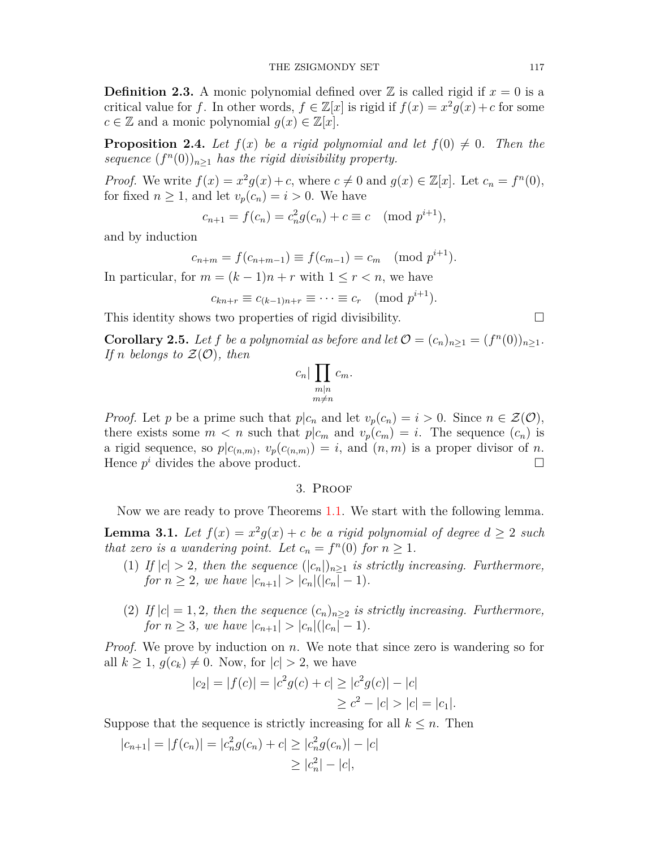**Definition 2.3.** A monic polynomial defined over  $\mathbb{Z}$  is called rigid if  $x = 0$  is a critical value for *f*. In other words,  $f \in \mathbb{Z}[x]$  is rigid if  $f(x) = x^2 g(x) + c$  for some  $c \in \mathbb{Z}$  and a monic polynomial  $g(x) \in \mathbb{Z}[x]$ .

**Proposition 2.4.** Let  $f(x)$  be a rigid polynomial and let  $f(0) \neq 0$ . Then the *sequence*  $(f^n(0))_{n\geq 1}$  *has the rigid divisibility property.* 

*Proof.* We write  $f(x) = x^2 g(x) + c$ , where  $c \neq 0$  and  $g(x) \in \mathbb{Z}[x]$ . Let  $c_n = f^n(0)$ , for fixed  $n \geq 1$ , and let  $v_p(c_n) = i > 0$ . We have

$$
c_{n+1} = f(c_n) = c_n^2 g(c_n) + c \equiv c \pmod{p^{i+1}},
$$

and by induction

$$
c_{n+m} = f(c_{n+m-1}) \equiv f(c_{m-1}) = c_m \pmod{p^{i+1}}.
$$

In particular, for  $m = (k-1)n + r$  with  $1 \leq r < n$ , we have

$$
c_{kn+r} \equiv c_{(k-1)n+r} \equiv \cdots \equiv c_r \pmod{p^{i+1}}.
$$

This identity shows two properties of rigid divisibility.  $\Box$ 

<span id="page-2-2"></span>**Corollary 2.5.** *Let f be a polynomial as before and let*  $\mathcal{O} = (c_n)_{n \geq 1} = (f^n(0))_{n \geq 1}$ *. If n belongs* to  $\mathcal{Z}(\mathcal{O})$ *, then* 

$$
c_n | \prod_{\substack{m|n \\ m \neq n}} c_m.
$$

*Proof.* Let *p* be a prime such that  $p|c_n$  and let  $v_p(c_n) = i > 0$ . Since  $n \in \mathcal{Z}(\mathcal{O})$ , there exists some  $m < n$  such that  $p|c_m$  and  $v_p(c_m) = i$ . The sequence  $(c_n)$  is a rigid sequence, so  $p|c_{(n,m)}$ ,  $v_p(c_{(n,m)}) = i$ , and  $(n,m)$  is a proper divisor of *n*. Hence  $p^i$  divides the above product.  $\Box$ 

#### 3. Proof

<span id="page-2-0"></span>Now we are ready to prove Theorems [1.1.](#page-1-1) We start with the following lemma.

<span id="page-2-1"></span>**Lemma 3.1.** Let  $f(x) = x^2 g(x) + c$  be a rigid polynomial of degree  $d \geq 2$  such *that zero is a wandering point. Let*  $c_n = f^n(0)$  *for*  $n \geq 1$ *.* 

- (1) If  $|c| > 2$ , then the sequence  $(|c_n|)_{n \geq 1}$  is strictly increasing. Furthermore, *for*  $n \geq 2$ *, we have*  $|c_{n+1}| > |c_n|(|c_n| - 1)$ *.*
- (2) *If*  $|c| = 1, 2$ , then the sequence  $(c_n)_{n \geq 2}$  *is strictly increasing. Furthermore, for*  $n \geq 3$ *, we have*  $|c_{n+1}| > |c_n|(|c_n| - 1)$ *.*

*Proof.* We prove by induction on *n*. We note that since zero is wandering so for all  $k \geq 1$ ,  $g(c_k) \neq 0$ . Now, for  $|c| > 2$ , we have

$$
|c_2| = |f(c)| = |c^2 g(c) + c| \ge |c^2 g(c)| - |c|
$$
  
 
$$
\ge c^2 - |c| > |c| = |c_1|.
$$

Suppose that the sequence is strictly increasing for all  $k \leq n$ . Then

$$
|c_{n+1}| = |f(c_n)| = |c_n^2 g(c_n) + c| \ge |c_n^2 g(c_n)| - |c|
$$
  
 
$$
\ge |c_n^2| - |c|,
$$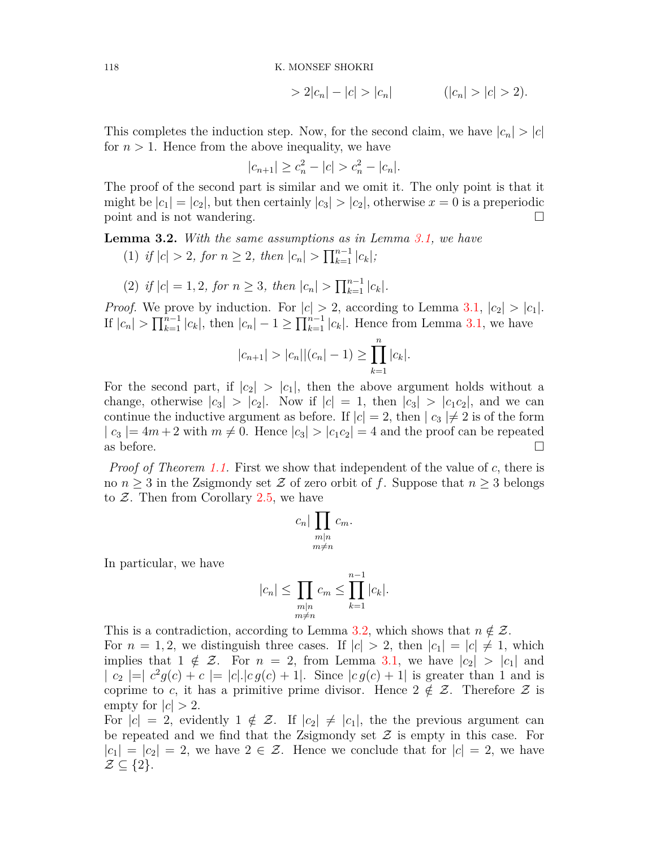118 K. MONSEF SHOKRI

$$
> 2|c_n| - |c| > |c_n| \qquad (|c_n| > |c| > 2).
$$

This completes the induction step. Now, for the second claim, we have  $|c_n| > |c|$ for  $n > 1$ . Hence from the above inequality, we have

$$
|c_{n+1}| \ge c_n^2 - |c| > c_n^2 - |c_n|.
$$

The proof of the second part is similar and we omit it. The only point is that it might be  $|c_1| = |c_2|$ , but then certainly  $|c_3| > |c_2|$ , otherwise  $x = 0$  is a preperiodic point and is not wandering.  $\Box$ 

<span id="page-3-0"></span>**Lemma 3.2.** *With the same assumptions as in Lemma [3.1](#page-2-1), we have*

- $(1)$  *if*  $|c| > 2$ *, for*  $n \geq 2$ *, then*  $|c_n| > \prod_{k=1}^{n-1} |c_k|$ ;
- $(2)$  *if*  $|c| = 1, 2$ *, for*  $n \geq 3$ *, then*  $|c_n| > \prod_{k=1}^{n-1} |c_k|$ *.*

*Proof.* We prove by induction. For  $|c| > 2$ , according to Lemma [3.1,](#page-2-1)  $|c_2| > |c_1|$ . If  $|c_n| > \prod_{k=1}^{n-1} |c_k|$ , then  $|c_n| - 1 \ge \prod_{k=1}^{n-1} |c_k|$ . Hence from Lemma [3.1](#page-2-1), we have

$$
|c_{n+1}| > |c_n||(c_n| - 1) \ge \prod_{k=1}^n |c_k|.
$$

For the second part, if  $|c_2| > |c_1|$ , then the above argument holds without a change, otherwise  $|c_3| > |c_2|$ . Now if  $|c| = 1$ , then  $|c_3| > |c_1c_2|$ , and we can continue the inductive argument as before. If  $|c| = 2$ , then  $|c_3| \neq 2$  is of the form  $|c_3| = 4m + 2$  with  $m \neq 0$ . Hence  $|c_3| > |c_1 c_2| = 4$  and the proof can be repeated as before.  $\Box$ 

*Proof of Theorem [1.1.](#page-1-1)* First we show that independent of the value of *c*, there is no  $n \geq 3$  in the Zsigmondy set  $\mathcal Z$  of zero orbit of  $f$ . Suppose that  $n \geq 3$  belongs to *Z*. Then from Corollary [2.5](#page-2-2), we have

$$
c_n | \prod_{\substack{m|n \\ m \neq n}} c_m.
$$

In particular, we have

$$
|c_n| \le \prod_{\substack{m|n\\m \neq n}} c_m \le \prod_{k=1}^{n-1} |c_k|.
$$

This is a contradiction, according to Lemma [3.2,](#page-3-0) which shows that  $n \notin \mathcal{Z}$ . For  $n = 1, 2$ , we distinguish three cases. If  $|c| > 2$ , then  $|c_1| = |c| \neq 1$ , which implies that  $1 \notin \mathcal{Z}$ . For  $n = 2$ , from Lemma [3.1](#page-2-1), we have  $|c_2| > |c_1|$  and  $|c_2| = |c^2 g(c) + c| = |c| |c| g(c) + 1|$ . Since  $|c g(c) + 1|$  is greater than 1 and is coprime to *c*, it has a primitive prime divisor. Hence  $2 \notin \mathcal{Z}$ . Therefore  $\mathcal Z$  is empty for  $|c| > 2$ .

For  $|c| = 2$ , evidently  $1 \notin \mathcal{Z}$ . If  $|c_2| \neq |c_1|$ , the the previous argument can be repeated and we find that the Zsigmondy set *Z* is empty in this case. For  $|c_1| = |c_2| = 2$ , we have  $2 \in \mathcal{Z}$ . Hence we conclude that for  $|c| = 2$ , we have *Z ⊆ {*2*}*.